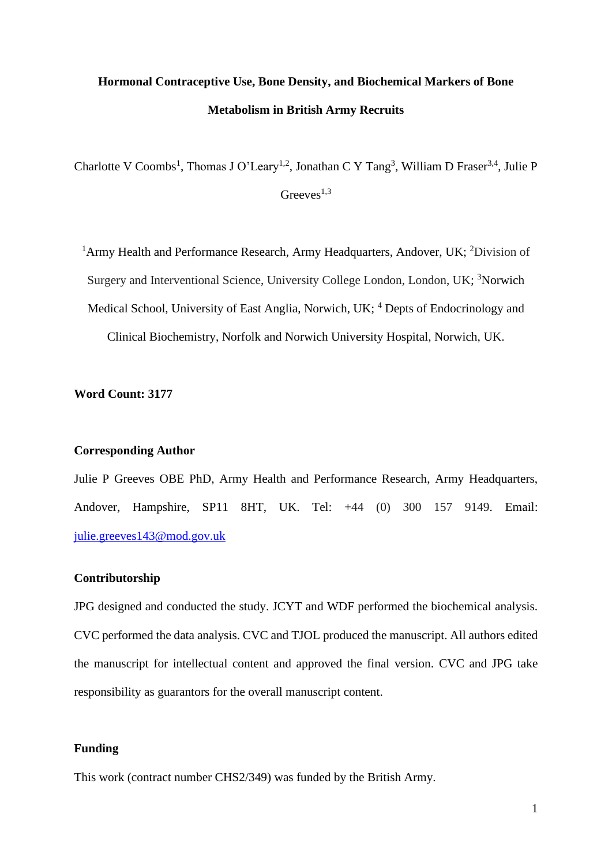# **Hormonal Contraceptive Use, Bone Density, and Biochemical Markers of Bone Metabolism in British Army Recruits**

Charlotte V Coombs<sup>1</sup>, Thomas J O'Leary<sup>1,2</sup>, Jonathan C Y Tang<sup>3</sup>, William D Fraser<sup>3,4</sup>, Julie P Greeves $^{1,3}$ 

<sup>1</sup>Army Health and Performance Research, Army Headquarters, Andover, UK; <sup>2</sup>Division of Surgery and Interventional Science, University College London, London, UK; <sup>3</sup>Norwich Medical School, University of East Anglia, Norwich, UK; <sup>4</sup> Depts of Endocrinology and Clinical Biochemistry, Norfolk and Norwich University Hospital, Norwich, UK.

## **Word Count: 3177**

## **Corresponding Author**

Julie P Greeves OBE PhD, Army Health and Performance Research, Army Headquarters, Andover, Hampshire, SP11 8HT, UK. Tel: +44 (0) 300 157 9149. Email: [julie.greeves143@mod.gov.uk](mailto:julie.greeves143@mod.gov.uk)

#### **Contributorship**

JPG designed and conducted the study. JCYT and WDF performed the biochemical analysis. CVC performed the data analysis. CVC and TJOL produced the manuscript. All authors edited the manuscript for intellectual content and approved the final version. CVC and JPG take responsibility as guarantors for the overall manuscript content.

## **Funding**

This work (contract number CHS2/349) was funded by the British Army.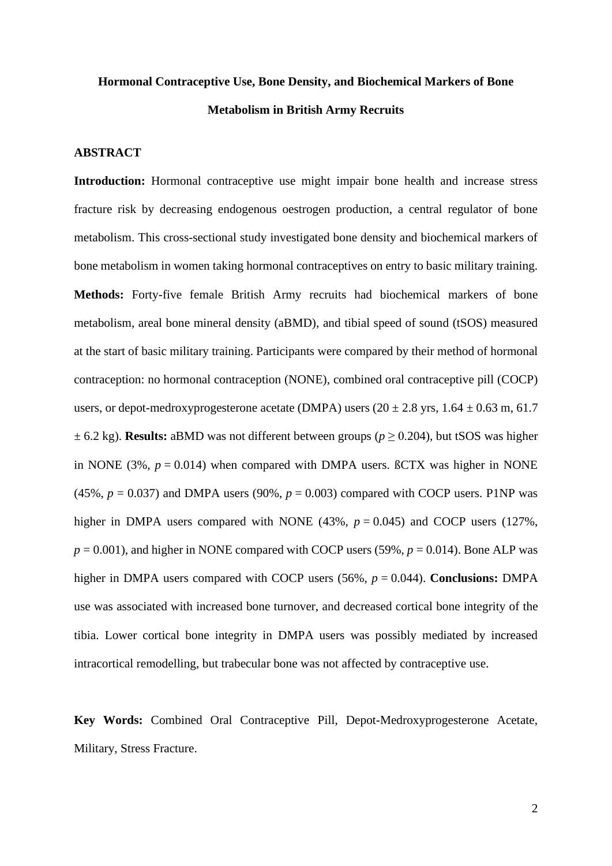# **Hormonal Contraceptive Use, Bone Density, and Biochemical Markers of Bone Metabolism in British Army Recruits**

## **ABSTRACT**

**Introduction:** Hormonal contraceptive use might impair bone health and increase stress fracture risk by decreasing endogenous oestrogen production, a central regulator of bone metabolism. This cross-sectional study investigated bone density and biochemical markers of bone metabolism in women taking hormonal contraceptives on entry to basic military training. **Methods:** Forty-five female British Army recruits had biochemical markers of bone metabolism, areal bone mineral density (aBMD), and tibial speed of sound (tSOS) measured at the start of basic military training. Participants were compared by their method of hormonal contraception: no hormonal contraception (NONE), combined oral contraceptive pill (COCP) users, or depot-medroxyprogesterone acetate (DMPA) users  $(20 \pm 2.8 \text{ yrs}, 1.64 \pm 0.63 \text{ m}, 61.7)$  $\pm$  6.2 kg). **Results:** aBMD was not different between groups ( $p \ge 0.204$ ), but tSOS was higher in NONE (3%,  $p = 0.014$ ) when compared with DMPA users.  $BCTX$  was higher in NONE  $(45\%, p = 0.037)$  and DMPA users  $(90\%, p = 0.003)$  compared with COCP users. P1NP was higher in DMPA users compared with NONE  $(43\%, p = 0.045)$  and COCP users  $(127\%,$  $p = 0.001$ ), and higher in NONE compared with COCP users (59%,  $p = 0.014$ ). Bone ALP was higher in DMPA users compared with COCP users (56%, *p* = 0.044). **Conclusions:** DMPA use was associated with increased bone turnover, and decreased cortical bone integrity of the tibia. Lower cortical bone integrity in DMPA users was possibly mediated by increased intracortical remodelling, but trabecular bone was not affected by contraceptive use.

**Key Words:** Combined Oral Contraceptive Pill, Depot-Medroxyprogesterone Acetate, Military, Stress Fracture.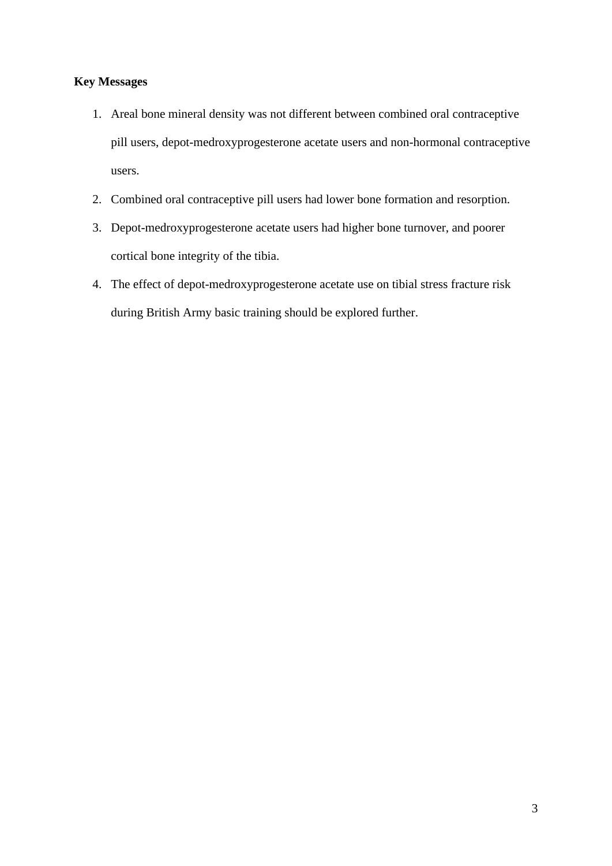## **Key Messages**

- 1. Areal bone mineral density was not different between combined oral contraceptive pill users, depot-medroxyprogesterone acetate users and non-hormonal contraceptive users.
- 2. Combined oral contraceptive pill users had lower bone formation and resorption.
- 3. Depot-medroxyprogesterone acetate users had higher bone turnover, and poorer cortical bone integrity of the tibia.
- 4. The effect of depot-medroxyprogesterone acetate use on tibial stress fracture risk during British Army basic training should be explored further.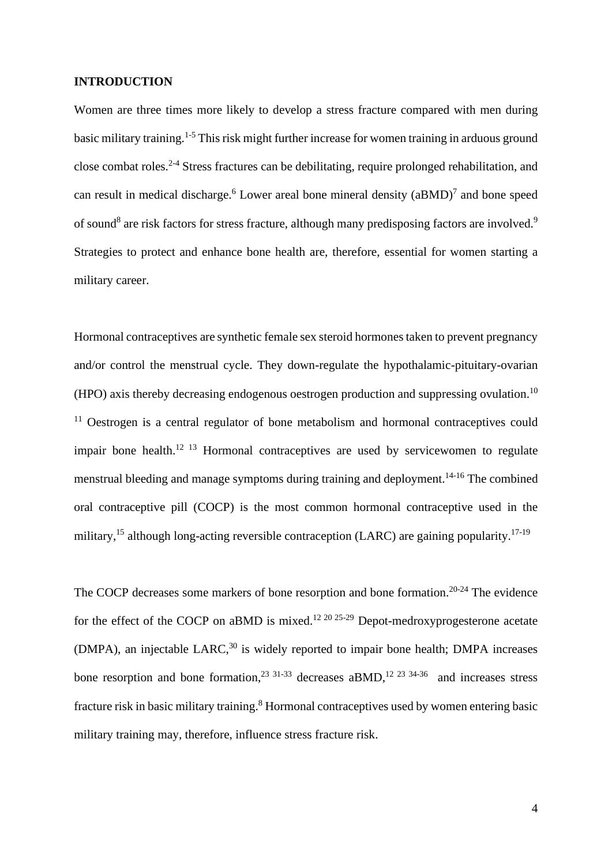#### **INTRODUCTION**

Women are three times more likely to develop a stress fracture compared with men during basic military training.<sup>1-5</sup> This risk might further increase for women training in arduous ground close combat roles.<sup>2-4</sup> Stress fractures can be debilitating, require prolonged rehabilitation, and can result in medical discharge.<sup>6</sup> Lower areal bone mineral density  $(aBMD)^7$  and bone speed of sound<sup>8</sup> are risk factors for stress fracture, although many predisposing factors are involved.<sup>9</sup> Strategies to protect and enhance bone health are, therefore, essential for women starting a military career.

Hormonal contraceptives are synthetic female sex steroid hormones taken to prevent pregnancy and/or control the menstrual cycle. They down-regulate the hypothalamic-pituitary-ovarian (HPO) axis thereby decreasing endogenous oestrogen production and suppressing ovulation. 10  $11$  Oestrogen is a central regulator of bone metabolism and hormonal contraceptives could impair bone health.<sup>12 13</sup> Hormonal contraceptives are used by servicewomen to regulate menstrual bleeding and manage symptoms during training and deployment.<sup>14-16</sup> The combined oral contraceptive pill (COCP) is the most common hormonal contraceptive used in the military,<sup>15</sup> although long-acting reversible contraception (LARC) are gaining popularity.<sup>17-19</sup>

The COCP decreases some markers of bone resorption and bone formation.<sup>20-24</sup> The evidence for the effect of the COCP on aBMD is mixed.<sup>12 20 25-29</sup> Depot-medroxyprogesterone acetate  $(DMPA)$ , an injectable  $LARC<sup>30</sup>$  is widely reported to impair bone health; DMPA increases bone resorption and bone formation,  $23 \times 31 - 33$  decreases aBMD,  $12 \times 23 \times 34 - 36$  and increases stress fracture risk in basic military training. <sup>8</sup> Hormonal contraceptives used by women entering basic military training may, therefore, influence stress fracture risk.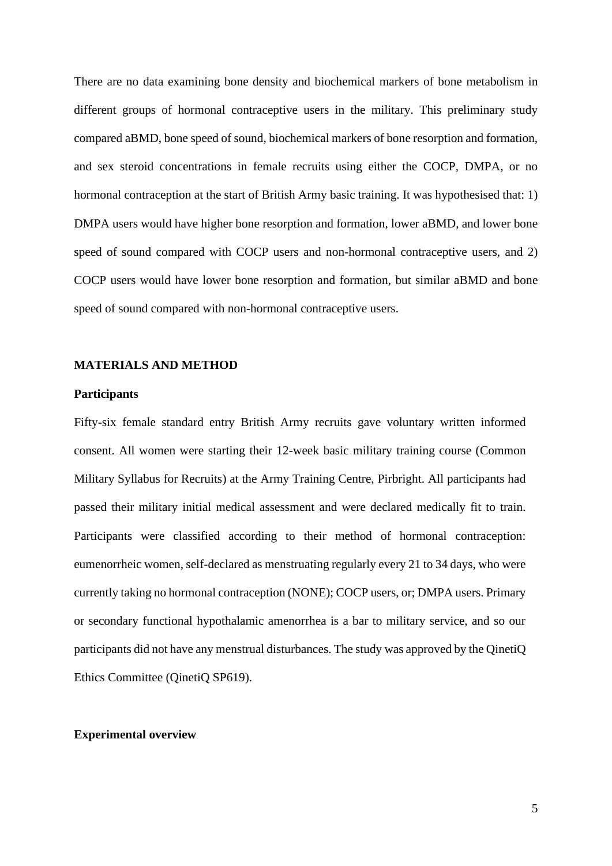There are no data examining bone density and biochemical markers of bone metabolism in different groups of hormonal contraceptive users in the military. This preliminary study compared aBMD, bone speed of sound, biochemical markers of bone resorption and formation, and sex steroid concentrations in female recruits using either the COCP, DMPA, or no hormonal contraception at the start of British Army basic training. It was hypothesised that: 1) DMPA users would have higher bone resorption and formation, lower aBMD, and lower bone speed of sound compared with COCP users and non-hormonal contraceptive users, and 2) COCP users would have lower bone resorption and formation, but similar aBMD and bone speed of sound compared with non-hormonal contraceptive users.

## **MATERIALS AND METHOD**

#### **Participants**

Fifty-six female standard entry British Army recruits gave voluntary written informed consent. All women were starting their 12-week basic military training course (Common Military Syllabus for Recruits) at the Army Training Centre, Pirbright. All participants had passed their military initial medical assessment and were declared medically fit to train. Participants were classified according to their method of hormonal contraception: eumenorrheic women, self-declared as menstruating regularly every 21 to 34 days, who were currently taking no hormonal contraception (NONE); COCP users, or; DMPA users. Primary or secondary functional hypothalamic amenorrhea is a bar to military service, and so our participants did not have any menstrual disturbances. The study was approved by the QinetiQ Ethics Committee (QinetiQ SP619).

#### **Experimental overview**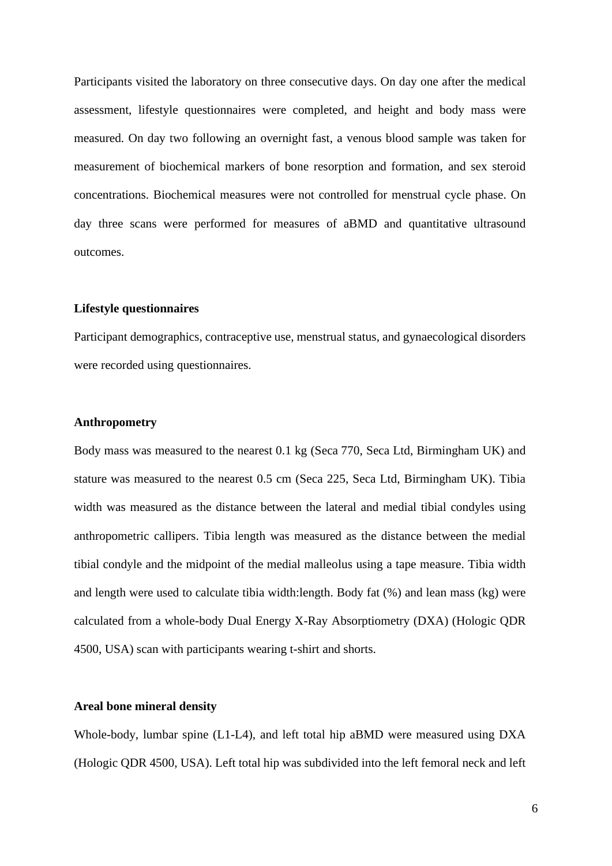Participants visited the laboratory on three consecutive days. On day one after the medical assessment, lifestyle questionnaires were completed, and height and body mass were measured. On day two following an overnight fast, a venous blood sample was taken for measurement of biochemical markers of bone resorption and formation, and sex steroid concentrations. Biochemical measures were not controlled for menstrual cycle phase. On day three scans were performed for measures of aBMD and quantitative ultrasound outcomes.

## **Lifestyle questionnaires**

Participant demographics, contraceptive use, menstrual status, and gynaecological disorders were recorded using questionnaires.

## **Anthropometry**

Body mass was measured to the nearest 0.1 kg (Seca 770, Seca Ltd, Birmingham UK) and stature was measured to the nearest 0.5 cm (Seca 225, Seca Ltd, Birmingham UK). Tibia width was measured as the distance between the lateral and medial tibial condyles using anthropometric callipers. Tibia length was measured as the distance between the medial tibial condyle and the midpoint of the medial malleolus using a tape measure. Tibia width and length were used to calculate tibia width:length. Body fat (%) and lean mass (kg) were calculated from a whole-body Dual Energy X-Ray Absorptiometry (DXA) (Hologic QDR 4500, USA) scan with participants wearing t-shirt and shorts.

#### **Areal bone mineral density**

Whole-body, lumbar spine (L1-L4), and left total hip aBMD were measured using DXA (Hologic QDR 4500, USA). Left total hip was subdivided into the left femoral neck and left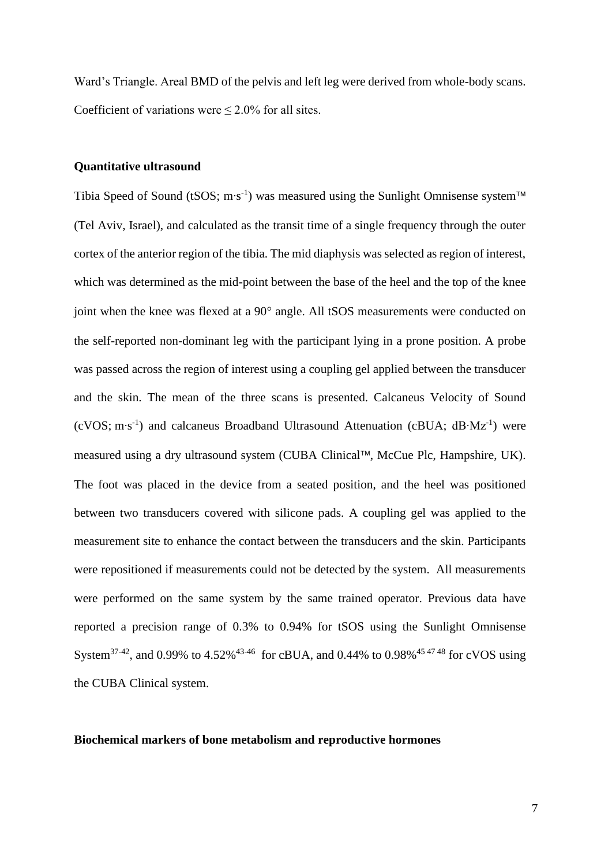Ward's Triangle. Areal BMD of the pelvis and left leg were derived from whole-body scans. Coefficient of variations were  $\leq 2.0\%$  for all sites.

#### **Quantitative ultrasound**

Tibia Speed of Sound (tSOS; m⋅s<sup>-1</sup>) was measured using the Sunlight Omnisense system™ (Tel Aviv, Israel), and calculated as the transit time of a single frequency through the outer cortex of the anterior region of the tibia. The mid diaphysis was selected as region of interest, which was determined as the mid-point between the base of the heel and the top of the knee joint when the knee was flexed at a 90° angle. All tSOS measurements were conducted on the self-reported non-dominant leg with the participant lying in a prone position. A probe was passed across the region of interest using a coupling gel applied between the transducer and the skin. The mean of the three scans is presented. Calcaneus Velocity of Sound (cVOS; m∙s -1 ) and calcaneus Broadband Ultrasound Attenuation (cBUA; dB∙Mz-1 ) were measured using a dry ultrasound system (CUBA Clinical™, McCue Plc, Hampshire, UK). The foot was placed in the device from a seated position, and the heel was positioned between two transducers covered with silicone pads. A coupling gel was applied to the measurement site to enhance the contact between the transducers and the skin. Participants were repositioned if measurements could not be detected by the system. All measurements were performed on the same system by the same trained operator. Previous data have reported a precision range of 0.3% to 0.94% for tSOS using the Sunlight Omnisense System<sup>37-42</sup>, and 0.99% to 4.52%<sup>43-46</sup> for cBUA, and 0.44% to 0.98%<sup>454748</sup> for cVOS using the CUBA Clinical system.

#### **Biochemical markers of bone metabolism and reproductive hormones**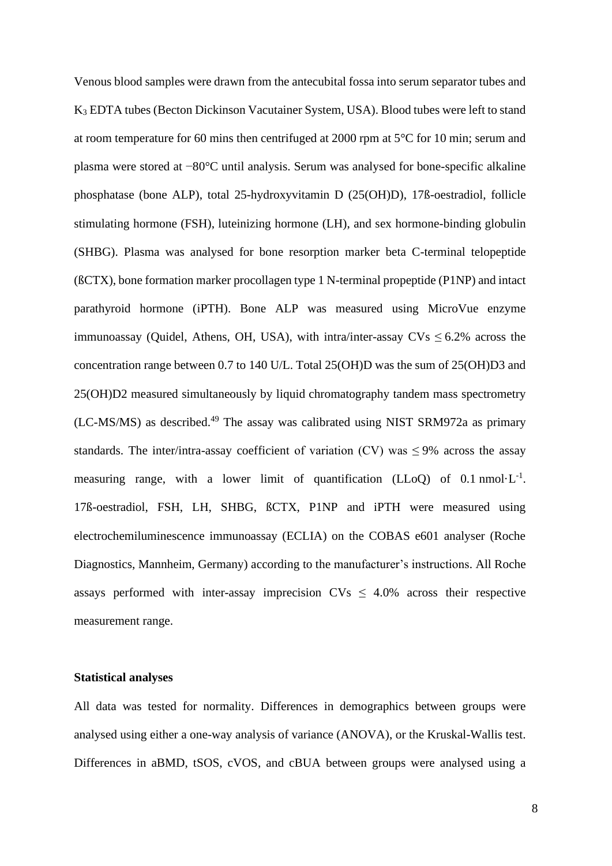Venous blood samples were drawn from the antecubital fossa into serum separator tubes and K<sup>3</sup> EDTA tubes (Becton Dickinson Vacutainer System, USA). Blood tubes were left to stand at room temperature for 60 mins then centrifuged at 2000 rpm at 5°C for 10 min; serum and plasma were stored at −80°C until analysis. Serum was analysed for bone-specific alkaline phosphatase (bone ALP), total 25-hydroxyvitamin D (25(OH)D), 17ß-oestradiol, follicle stimulating hormone (FSH), luteinizing hormone (LH), and sex hormone-binding globulin (SHBG). Plasma was analysed for bone resorption marker beta C-terminal telopeptide (ßCTX), bone formation marker procollagen type 1 N-terminal propeptide (P1NP) and intact parathyroid hormone (iPTH). Bone ALP was measured using MicroVue enzyme immunoassay (Quidel, Athens, OH, USA), with intra/inter-assay  $CVs \le 6.2\%$  across the concentration range between 0.7 to 140 U/L. Total 25(OH)D was the sum of 25(OH)D3 and 25(OH)D2 measured simultaneously by liquid chromatography tandem mass spectrometry  $(LC-MS/MS)$  as described.<sup>49</sup> The assay was calibrated using NIST SRM972a as primary standards. The inter/intra-assay coefficient of variation (CV) was  $\leq$ 9% across the assay measuring range, with a lower limit of quantification (LLoQ) of  $0.1 \text{ nmol} \cdot L^{-1}$ . 17ß-oestradiol, FSH, LH, SHBG, ßCTX, P1NP and iPTH were measured using electrochemiluminescence immunoassay (ECLIA) on the COBAS e601 analyser (Roche Diagnostics, Mannheim, Germany) according to the manufacturer's instructions. All Roche assays performed with inter-assay imprecision  $CVs \leq 4.0\%$  across their respective measurement range.

#### **Statistical analyses**

All data was tested for normality. Differences in demographics between groups were analysed using either a one-way analysis of variance (ANOVA), or the Kruskal-Wallis test. Differences in aBMD, tSOS, cVOS, and cBUA between groups were analysed using a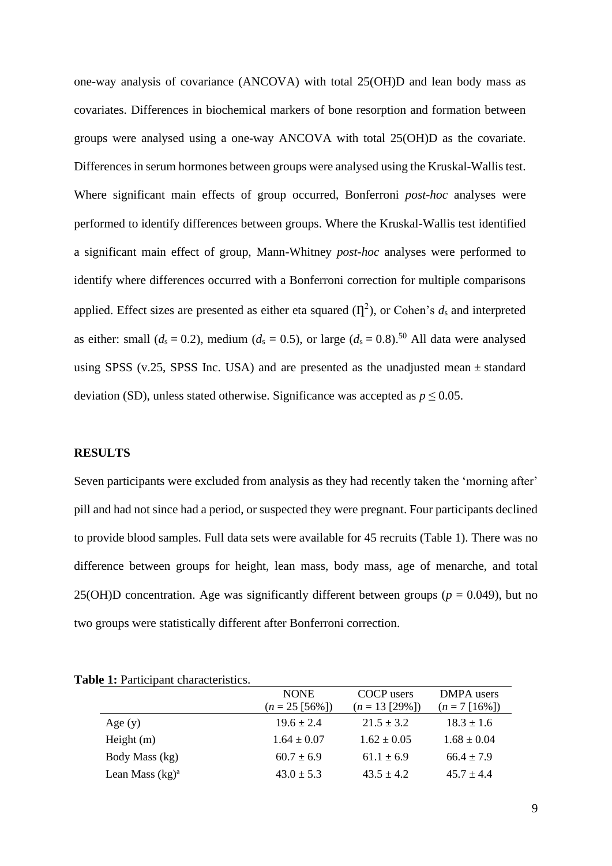one-way analysis of covariance (ANCOVA) with total 25(OH)D and lean body mass as covariates. Differences in biochemical markers of bone resorption and formation between groups were analysed using a one-way ANCOVA with total 25(OH)D as the covariate. Differences in serum hormones between groups were analysed using the Kruskal-Wallis test. Where significant main effects of group occurred, Bonferroni *post-hoc* analyses were performed to identify differences between groups. Where the Kruskal-Wallis test identified a significant main effect of group, Mann-Whitney *post-hoc* analyses were performed to identify where differences occurred with a Bonferroni correction for multiple comparisons applied. Effect sizes are presented as either eta squared  $(\Pi^2)$ , or Cohen's  $d_s$  and interpreted as either: small ( $d_s = 0.2$ ), medium ( $d_s = 0.5$ ), or large ( $d_s = 0.8$ ).<sup>50</sup> All data were analysed using SPSS (v.25, SPSS Inc. USA) and are presented as the unadjusted mean  $\pm$  standard deviation (SD), unless stated otherwise. Significance was accepted as  $p \le 0.05$ .

#### **RESULTS**

Seven participants were excluded from analysis as they had recently taken the 'morning after' pill and had not since had a period, or suspected they were pregnant. Four participants declined to provide blood samples. Full data sets were available for 45 recruits (Table 1). There was no difference between groups for height, lean mass, body mass, age of menarche, and total 25(OH)D concentration. Age was significantly different between groups ( $p = 0.049$ ), but no two groups were statistically different after Bonferroni correction.

| $\alpha$ . If a dividual characteristics. |                   |                  |                 |
|-------------------------------------------|-------------------|------------------|-----------------|
|                                           | <b>NONE</b>       | COCP users       | DMPA users      |
|                                           | $(n = 25 [56\%])$ | $(n = 13 [29\%)$ | $(n=7 [16\%])$  |
| Age $(y)$                                 | $19.6 \pm 2.4$    | $21.5 \pm 3.2$   | $18.3 \pm 1.6$  |
| Height $(m)$                              | $1.64 \pm 0.07$   | $1.62 \pm 0.05$  | $1.68 \pm 0.04$ |
| Body Mass (kg)                            | $60.7 \pm 6.9$    | $61.1 \pm 6.9$   | $66.4 \pm 7.9$  |
| Lean Mass $(kg)^a$                        | $43.0 \pm 5.3$    | $43.5 \pm 4.2$   | $45.7 \pm 4.4$  |

|  |  | Table 1: Participant characteristics. |
|--|--|---------------------------------------|
|--|--|---------------------------------------|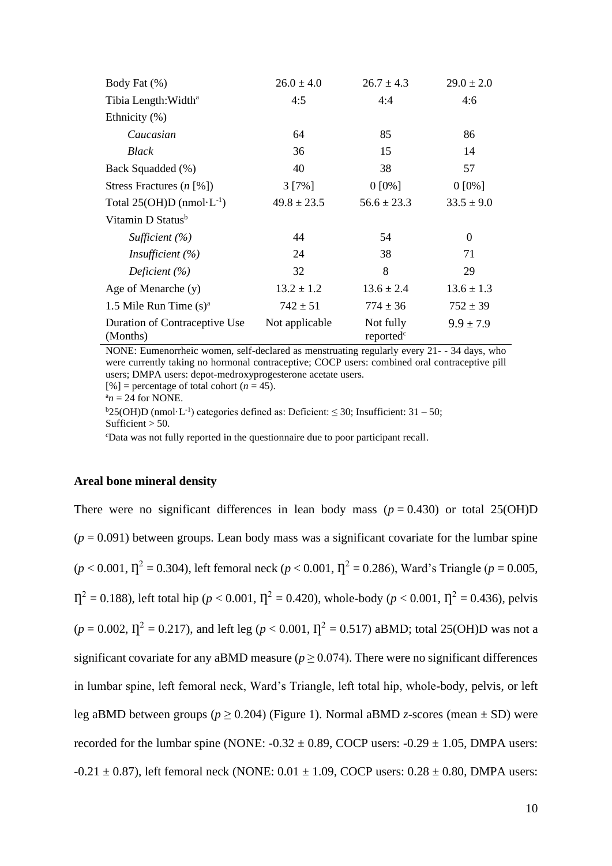| Body Fat (%)                                      | $26.0 \pm 4.0$  | $26.7 \pm 4.3$                     | $29.0 \pm 2.0$ |
|---------------------------------------------------|-----------------|------------------------------------|----------------|
| Tibia Length: Width <sup>a</sup>                  | 4:5             | 4:4                                | 4:6            |
| Ethnicity (%)                                     |                 |                                    |                |
| Caucasian                                         | 64              | 85                                 | 86             |
| Black                                             | 36              | 15                                 | 14             |
| Back Squadded (%)                                 | 40              | 38                                 | 57             |
| Stress Fractures $(n \, \lceil \vartheta \rceil)$ | $3 [7\%]$       | $0 [0\%]$                          | $0 [0\%]$      |
| Total 25(OH)D (nmol· $L^{-1}$ )                   | $49.8 \pm 23.5$ | $56.6 \pm 23.3$                    | $33.5 \pm 9.0$ |
| Vitamin D Status <sup>b</sup>                     |                 |                                    |                |
| Sufficient $(\% )$                                | 44              | 54                                 | $\Omega$       |
| <i>Insufficient</i> $(\%)$                        | 24              | 38                                 | 71             |
| Deficient $(\% )$                                 | 32              | 8                                  | 29             |
| Age of Menarche (y)                               | $13.2 \pm 1.2$  | $13.6 \pm 2.4$                     | $13.6 \pm 1.3$ |
| 1.5 Mile Run Time $(s)^a$                         | $742 \pm 51$    | $774 \pm 36$                       | $752 \pm 39$   |
| Duration of Contraceptive Use<br>(Months)         | Not applicable  | Not fully<br>reported <sup>c</sup> | $9.9 \pm 7.9$  |

NONE: Eumenorrheic women, self-declared as menstruating regularly every 21- - 34 days, who were currently taking no hormonal contraceptive; COCP users: combined oral contraceptive pill users; DMPA users: depot-medroxyprogesterone acetate users.

 $[\%]$  = percentage of total cohort (*n* = 45).

 $a_n$  = 24 for NONE.

 $b25(OH)D$  (nmol·L<sup>-1</sup>) categories defined as: Deficient:  $\leq 30$ ; Insufficient: 31 – 50; Sufficient  $>$  50.

<sup>c</sup>Data was not fully reported in the questionnaire due to poor participant recall.

## **Areal bone mineral density**

There were no significant differences in lean body mass  $(p = 0.430)$  or total 25(OH)D  $(p = 0.091)$  between groups. Lean body mass was a significant covariate for the lumbar spine  $(p < 0.001, \eta^2 = 0.304)$ , left femoral neck  $(p < 0.001, \eta^2 = 0.286)$ , Ward's Triangle  $(p = 0.005, \eta^2 = 0.005)$  $\eta^2 = 0.188$ ), left total hip (*p* < 0.001,  $\eta^2 = 0.420$ ), whole-body (*p* < 0.001,  $\eta^2 = 0.436$ ), pelvis  $(p = 0.002, \Pi^2 = 0.217)$ , and left leg  $(p < 0.001, \Pi^2 = 0.517)$  aBMD; total 25(OH)D was not a significant covariate for any aBMD measure ( $p \ge 0.074$ ). There were no significant differences in lumbar spine, left femoral neck, Ward's Triangle, left total hip, whole-body, pelvis, or left leg aBMD between groups ( $p > 0.204$ ) (Figure 1). Normal aBMD *z*-scores (mean  $\pm$  SD) were recorded for the lumbar spine (NONE:  $-0.32 \pm 0.89$ , COCP users:  $-0.29 \pm 1.05$ , DMPA users:  $-0.21 \pm 0.87$ ), left femoral neck (NONE:  $0.01 \pm 1.09$ , COCP users:  $0.28 \pm 0.80$ , DMPA users: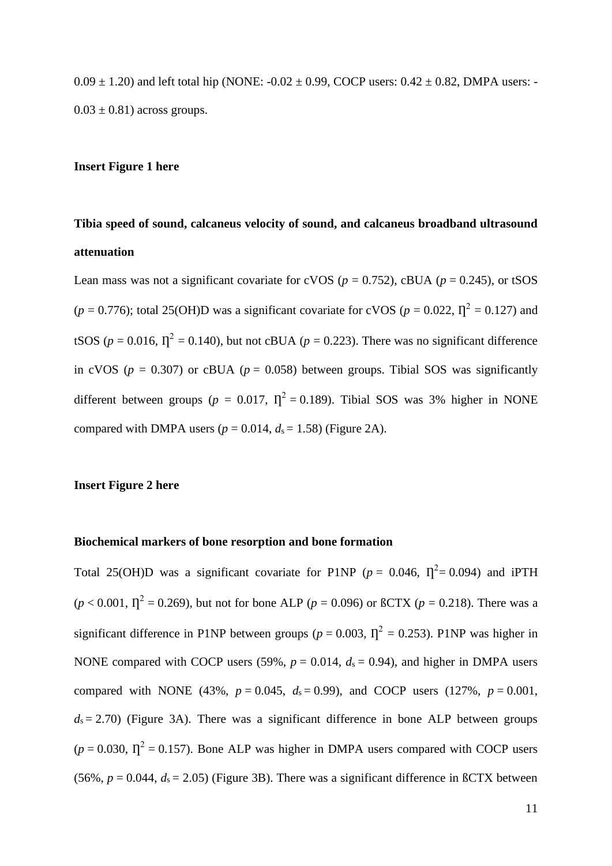$0.09 \pm 1.20$ ) and left total hip (NONE:  $-0.02 \pm 0.99$ , COCP users:  $0.42 \pm 0.82$ , DMPA users: - $0.03 \pm 0.81$ ) across groups.

## **Insert Figure 1 here**

# **Tibia speed of sound, calcaneus velocity of sound, and calcaneus broadband ultrasound attenuation**

Lean mass was not a significant covariate for cVOS ( $p = 0.752$ ), cBUA ( $p = 0.245$ ), or tSOS  $(p = 0.776)$ ; total 25(OH)D was a significant covariate for cVOS ( $p = 0.022$ ,  $\Gamma_1^2 = 0.127$ ) and tSOS ( $p = 0.016$ ,  $\Gamma^2 = 0.140$ ), but not cBUA ( $p = 0.223$ ). There was no significant difference in cVOS ( $p = 0.307$ ) or cBUA ( $p = 0.058$ ) between groups. Tibial SOS was significantly different between groups ( $p = 0.017$ ,  $T^2 = 0.189$ ). Tibial SOS was 3% higher in NONE compared with DMPA users  $(p = 0.014, d_s = 1.58)$  (Figure 2A).

#### **Insert Figure 2 here**

#### **Biochemical markers of bone resorption and bone formation**

Total 25(OH)D was a significant covariate for P1NP ( $p = 0.046$ ,  $\Gamma^2 = 0.094$ ) and iPTH  $(p < 0.001, \Pi^2 = 0.269)$ , but not for bone ALP ( $p = 0.096$ ) or  $\beta$ CTX ( $p = 0.218$ ). There was a significant difference in P1NP between groups ( $p = 0.003$ ,  $\Gamma_1^2 = 0.253$ ). P1NP was higher in NONE compared with COCP users (59%,  $p = 0.014$ ,  $d_s = 0.94$ ), and higher in DMPA users compared with NONE (43%,  $p = 0.045$ ,  $d_s = 0.99$ ), and COCP users (127%,  $p = 0.001$ ,  $d_s = 2.70$ ) (Figure 3A). There was a significant difference in bone ALP between groups  $(p = 0.030, \Pi^2 = 0.157)$ . Bone ALP was higher in DMPA users compared with COCP users (56%,  $p = 0.044$ ,  $d_s = 2.05$ ) (Figure 3B). There was a significant difference in  $\beta$ CTX between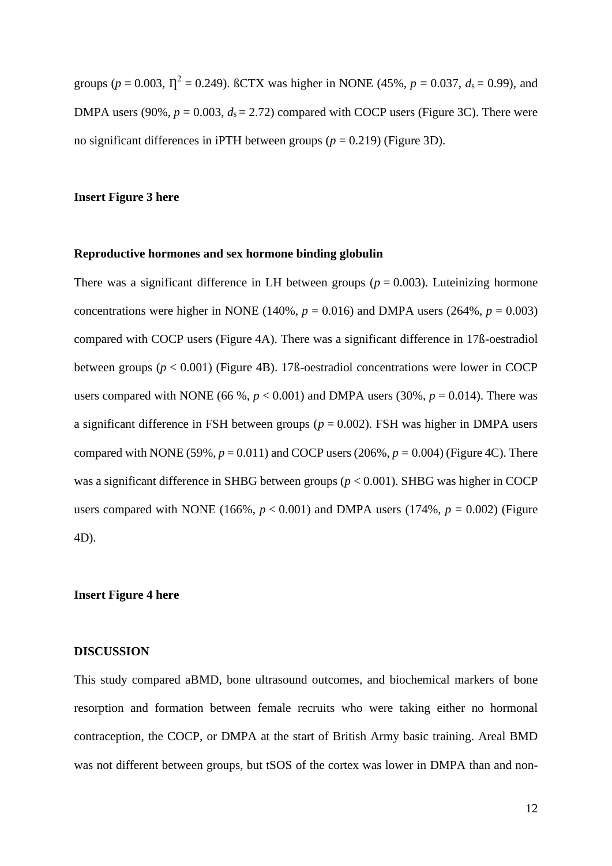groups ( $p = 0.003$ ,  $T_1^2 = 0.249$ ). BCTX was higher in NONE (45%,  $p = 0.037$ ,  $d_s = 0.99$ ), and DMPA users (90%,  $p = 0.003$ ,  $d_s = 2.72$ ) compared with COCP users (Figure 3C). There were no significant differences in iPTH between groups ( $p = 0.219$ ) (Figure 3D).

## **Insert Figure 3 here**

#### **Reproductive hormones and sex hormone binding globulin**

There was a significant difference in LH between groups ( $p = 0.003$ ). Luteinizing hormone concentrations were higher in NONE (140%,  $p = 0.016$ ) and DMPA users (264%,  $p = 0.003$ ) compared with COCP users (Figure 4A). There was a significant difference in 17ß-oestradiol between groups (*p* < 0.001) (Figure 4B). 17ß-oestradiol concentrations were lower in COCP users compared with NONE (66 %,  $p < 0.001$ ) and DMPA users (30%,  $p = 0.014$ ). There was a significant difference in FSH between groups ( $p = 0.002$ ). FSH was higher in DMPA users compared with NONE (59%,  $p = 0.011$ ) and COCP users (206%,  $p = 0.004$ ) (Figure 4C). There was a significant difference in SHBG between groups (*p* < 0.001). SHBG was higher in COCP users compared with NONE (166%,  $p < 0.001$ ) and DMPA users (174%,  $p = 0.002$ ) (Figure 4D).

#### **Insert Figure 4 here**

#### **DISCUSSION**

This study compared aBMD, bone ultrasound outcomes, and biochemical markers of bone resorption and formation between female recruits who were taking either no hormonal contraception, the COCP, or DMPA at the start of British Army basic training. Areal BMD was not different between groups, but tSOS of the cortex was lower in DMPA than and non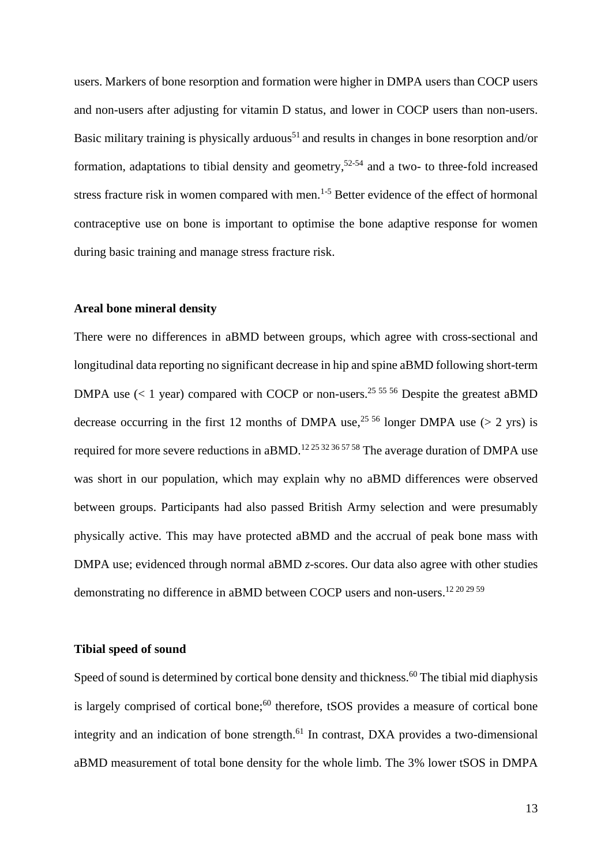users. Markers of bone resorption and formation were higher in DMPA users than COCP users and non-users after adjusting for vitamin D status, and lower in COCP users than non-users. Basic military training is physically arduous<sup>51</sup> and results in changes in bone resorption and/or formation, adaptations to tibial density and geometry, 52-54 and a two- to three-fold increased stress fracture risk in women compared with men.<sup>1-5</sup> Better evidence of the effect of hormonal contraceptive use on bone is important to optimise the bone adaptive response for women during basic training and manage stress fracture risk.

## **Areal bone mineral density**

There were no differences in aBMD between groups, which agree with cross-sectional and longitudinal data reporting no significant decrease in hip and spine aBMD following short-term DMPA use  $(< 1$  year) compared with COCP or non-users.<sup>25 55 56</sup> Despite the greatest aBMD decrease occurring in the first 12 months of DMPA use,<sup>25 56</sup> longer DMPA use ( $> 2$  yrs) is required for more severe reductions in aBMD.<sup>12 25 32 36 57 58</sup> The average duration of DMPA use was short in our population, which may explain why no aBMD differences were observed between groups. Participants had also passed British Army selection and were presumably physically active. This may have protected aBMD and the accrual of peak bone mass with DMPA use; evidenced through normal aBMD *z*-scores. Our data also agree with other studies demonstrating no difference in aBMD between COCP users and non-users.<sup>12 20 29 59</sup>

#### **Tibial speed of sound**

Speed of sound is determined by cortical bone density and thickness.<sup>60</sup> The tibial mid diaphysis is largely comprised of cortical bone;<sup>60</sup> therefore, tSOS provides a measure of cortical bone integrity and an indication of bone strength.<sup>61</sup> In contrast, DXA provides a two-dimensional aBMD measurement of total bone density for the whole limb. The 3% lower tSOS in DMPA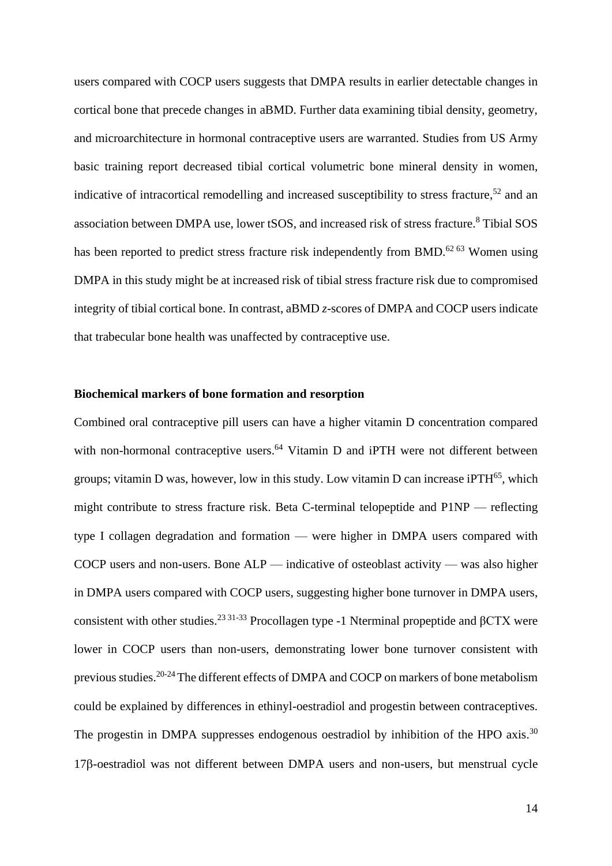users compared with COCP users suggests that DMPA results in earlier detectable changes in cortical bone that precede changes in aBMD. Further data examining tibial density, geometry, and microarchitecture in hormonal contraceptive users are warranted. Studies from US Army basic training report decreased tibial cortical volumetric bone mineral density in women, indicative of intracortical remodelling and increased susceptibility to stress fracture,<sup>52</sup> and an association between DMPA use, lower tSOS, and increased risk of stress fracture. <sup>8</sup> Tibial SOS has been reported to predict stress fracture risk independently from BMD. $^{6263}$  Women using DMPA in this study might be at increased risk of tibial stress fracture risk due to compromised integrity of tibial cortical bone. In contrast, aBMD *z*-scores of DMPA and COCP users indicate that trabecular bone health was unaffected by contraceptive use.

#### **Biochemical markers of bone formation and resorption**

Combined oral contraceptive pill users can have a higher vitamin D concentration compared with non-hormonal contraceptive users.<sup>64</sup> Vitamin D and iPTH were not different between groups; vitamin D was, however, low in this study. Low vitamin D can increase iPTH $^{65}$ , which might contribute to stress fracture risk. Beta C-terminal telopeptide and P1NP — reflecting type I collagen degradation and formation — were higher in DMPA users compared with COCP users and non-users. Bone ALP — indicative of osteoblast activity — was also higher in DMPA users compared with COCP users, suggesting higher bone turnover in DMPA users, consistent with other studies.<sup>23 31-33</sup> Procollagen type -1 Nterminal propeptide and  $\beta$ CTX were lower in COCP users than non-users, demonstrating lower bone turnover consistent with previous studies.<sup>20-24</sup> The different effects of DMPA and COCP on markers of bone metabolism could be explained by differences in ethinyl-oestradiol and progestin between contraceptives. The progestin in DMPA suppresses endogenous oestradiol by inhibition of the HPO axis.<sup>30</sup> 17<sub>B</sub>-oestradiol was not different between DMPA users and non-users, but menstrual cycle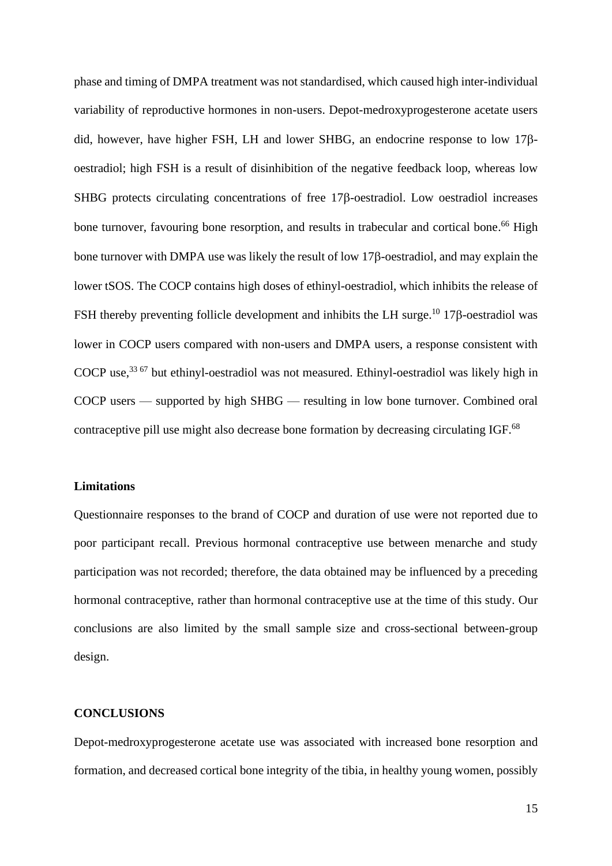phase and timing of DMPA treatment was not standardised, which caused high inter-individual variability of reproductive hormones in non-users. Depot-medroxyprogesterone acetate users did, however, have higher FSH, LH and lower SHBG, an endocrine response to low  $17\beta$ oestradiol; high FSH is a result of disinhibition of the negative feedback loop, whereas low SHBG protects circulating concentrations of free  $17\beta$ -oestradiol. Low oestradiol increases bone turnover, favouring bone resorption, and results in trabecular and cortical bone.<sup>66</sup> High bone turnover with DMPA use was likely the result of low 17<sub>8</sub>-oestradiol, and may explain the lower tSOS. The COCP contains high doses of ethinyl-oestradiol, which inhibits the release of FSH thereby preventing follicle development and inhibits the LH surge.<sup>10</sup> 17 $\beta$ -oestradiol was lower in COCP users compared with non-users and DMPA users, a response consistent with COCP use,<sup>33 67</sup> but ethinyl-oestradiol was not measured. Ethinyl-oestradiol was likely high in COCP users — supported by high SHBG — resulting in low bone turnover. Combined oral contraceptive pill use might also decrease bone formation by decreasing circulating IGF.<sup>68</sup>

#### **Limitations**

Questionnaire responses to the brand of COCP and duration of use were not reported due to poor participant recall. Previous hormonal contraceptive use between menarche and study participation was not recorded; therefore, the data obtained may be influenced by a preceding hormonal contraceptive, rather than hormonal contraceptive use at the time of this study. Our conclusions are also limited by the small sample size and cross-sectional between-group design.

## **CONCLUSIONS**

Depot-medroxyprogesterone acetate use was associated with increased bone resorption and formation, and decreased cortical bone integrity of the tibia, in healthy young women, possibly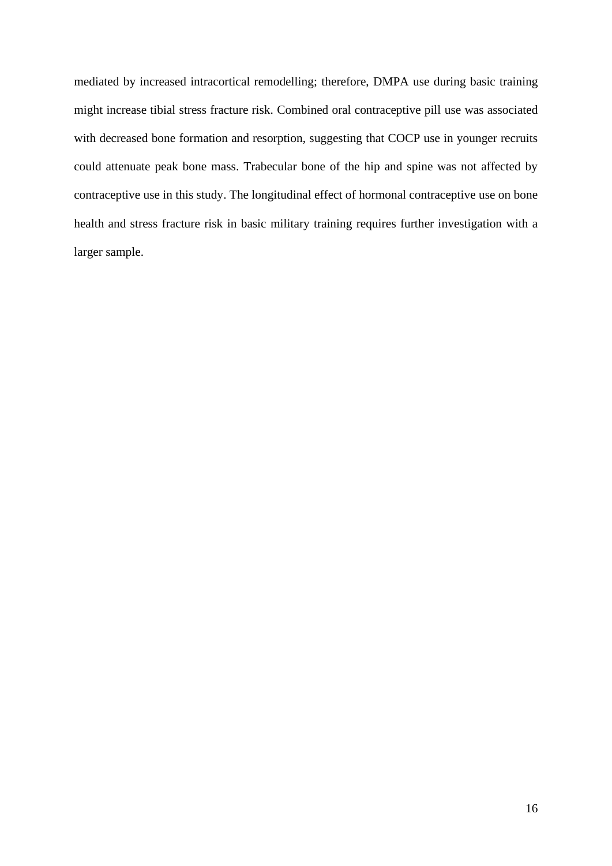mediated by increased intracortical remodelling; therefore, DMPA use during basic training might increase tibial stress fracture risk. Combined oral contraceptive pill use was associated with decreased bone formation and resorption, suggesting that COCP use in younger recruits could attenuate peak bone mass. Trabecular bone of the hip and spine was not affected by contraceptive use in this study. The longitudinal effect of hormonal contraceptive use on bone health and stress fracture risk in basic military training requires further investigation with a larger sample.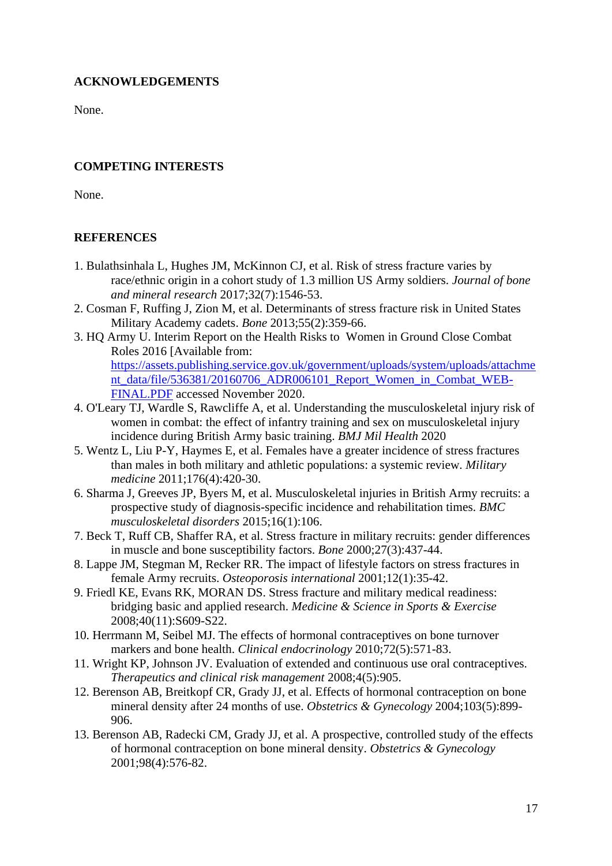## **ACKNOWLEDGEMENTS**

None.

## **COMPETING INTERESTS**

None.

# **REFERENCES**

- 1. Bulathsinhala L, Hughes JM, McKinnon CJ, et al. Risk of stress fracture varies by race/ethnic origin in a cohort study of 1.3 million US Army soldiers. *Journal of bone and mineral research* 2017;32(7):1546-53.
- 2. Cosman F, Ruffing J, Zion M, et al. Determinants of stress fracture risk in United States Military Academy cadets. *Bone* 2013;55(2):359-66.
- 3. HQ Army U. Interim Report on the Health Risks to Women in Ground Close Combat Roles 2016 [Available from: [https://assets.publishing.service.gov.uk/government/uploads/system/uploads/attachme](https://assets.publishing.service.gov.uk/government/uploads/system/uploads/attachment_data/file/536381/20160706_ADR006101_Report_Women_in_Combat_WEB-FINAL.PDF) [nt\\_data/file/536381/20160706\\_ADR006101\\_Report\\_Women\\_in\\_Combat\\_WEB-](https://assets.publishing.service.gov.uk/government/uploads/system/uploads/attachment_data/file/536381/20160706_ADR006101_Report_Women_in_Combat_WEB-FINAL.PDF)[FINAL.PDF](https://assets.publishing.service.gov.uk/government/uploads/system/uploads/attachment_data/file/536381/20160706_ADR006101_Report_Women_in_Combat_WEB-FINAL.PDF) accessed November 2020.
- 4. O'Leary TJ, Wardle S, Rawcliffe A, et al. Understanding the musculoskeletal injury risk of women in combat: the effect of infantry training and sex on musculoskeletal injury incidence during British Army basic training. *BMJ Mil Health* 2020
- 5. Wentz L, Liu P-Y, Haymes E, et al. Females have a greater incidence of stress fractures than males in both military and athletic populations: a systemic review. *Military medicine* 2011;176(4):420-30.
- 6. Sharma J, Greeves JP, Byers M, et al. Musculoskeletal injuries in British Army recruits: a prospective study of diagnosis-specific incidence and rehabilitation times. *BMC musculoskeletal disorders* 2015;16(1):106.
- 7. Beck T, Ruff CB, Shaffer RA, et al. Stress fracture in military recruits: gender differences in muscle and bone susceptibility factors. *Bone* 2000;27(3):437-44.
- 8. Lappe JM, Stegman M, Recker RR. The impact of lifestyle factors on stress fractures in female Army recruits. *Osteoporosis international* 2001;12(1):35-42.
- 9. Friedl KE, Evans RK, MORAN DS. Stress fracture and military medical readiness: bridging basic and applied research. *Medicine & Science in Sports & Exercise* 2008;40(11):S609-S22.
- 10. Herrmann M, Seibel MJ. The effects of hormonal contraceptives on bone turnover markers and bone health. *Clinical endocrinology* 2010;72(5):571-83.
- 11. Wright KP, Johnson JV. Evaluation of extended and continuous use oral contraceptives. *Therapeutics and clinical risk management* 2008;4(5):905.
- 12. Berenson AB, Breitkopf CR, Grady JJ, et al. Effects of hormonal contraception on bone mineral density after 24 months of use. *Obstetrics & Gynecology* 2004;103(5):899- 906.
- 13. Berenson AB, Radecki CM, Grady JJ, et al. A prospective, controlled study of the effects of hormonal contraception on bone mineral density. *Obstetrics & Gynecology* 2001;98(4):576-82.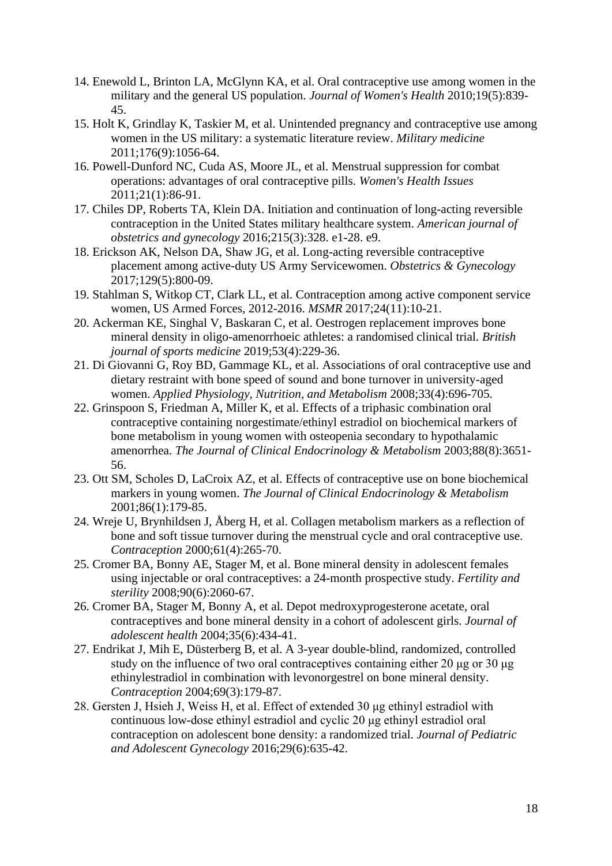- 14. Enewold L, Brinton LA, McGlynn KA, et al. Oral contraceptive use among women in the military and the general US population. *Journal of Women's Health* 2010;19(5):839- 45.
- 15. Holt K, Grindlay K, Taskier M, et al. Unintended pregnancy and contraceptive use among women in the US military: a systematic literature review. *Military medicine* 2011;176(9):1056-64.
- 16. Powell-Dunford NC, Cuda AS, Moore JL, et al. Menstrual suppression for combat operations: advantages of oral contraceptive pills. *Women's Health Issues* 2011;21(1):86-91.
- 17. Chiles DP, Roberts TA, Klein DA. Initiation and continuation of long-acting reversible contraception in the United States military healthcare system. *American journal of obstetrics and gynecology* 2016;215(3):328. e1-28. e9.
- 18. Erickson AK, Nelson DA, Shaw JG, et al. Long-acting reversible contraceptive placement among active-duty US Army Servicewomen. *Obstetrics & Gynecology* 2017;129(5):800-09.
- 19. Stahlman S, Witkop CT, Clark LL, et al. Contraception among active component service women, US Armed Forces, 2012-2016. *MSMR* 2017;24(11):10-21.
- 20. Ackerman KE, Singhal V, Baskaran C, et al. Oestrogen replacement improves bone mineral density in oligo-amenorrhoeic athletes: a randomised clinical trial. *British journal of sports medicine* 2019;53(4):229-36.
- 21. Di Giovanni G, Roy BD, Gammage KL, et al. Associations of oral contraceptive use and dietary restraint with bone speed of sound and bone turnover in university-aged women. *Applied Physiology, Nutrition, and Metabolism* 2008;33(4):696-705.
- 22. Grinspoon S, Friedman A, Miller K, et al. Effects of a triphasic combination oral contraceptive containing norgestimate/ethinyl estradiol on biochemical markers of bone metabolism in young women with osteopenia secondary to hypothalamic amenorrhea. *The Journal of Clinical Endocrinology & Metabolism* 2003;88(8):3651- 56.
- 23. Ott SM, Scholes D, LaCroix AZ, et al. Effects of contraceptive use on bone biochemical markers in young women. *The Journal of Clinical Endocrinology & Metabolism* 2001;86(1):179-85.
- 24. Wreje U, Brynhildsen J, Åberg H, et al. Collagen metabolism markers as a reflection of bone and soft tissue turnover during the menstrual cycle and oral contraceptive use. *Contraception* 2000;61(4):265-70.
- 25. Cromer BA, Bonny AE, Stager M, et al. Bone mineral density in adolescent females using injectable or oral contraceptives: a 24-month prospective study. *Fertility and sterility* 2008;90(6):2060-67.
- 26. Cromer BA, Stager M, Bonny A, et al. Depot medroxyprogesterone acetate, oral contraceptives and bone mineral density in a cohort of adolescent girls. *Journal of adolescent health* 2004;35(6):434-41.
- 27. Endrikat J, Mih E, Düsterberg B, et al. A 3-year double-blind, randomized, controlled study on the influence of two oral contraceptives containing either 20 μg or 30 μg ethinylestradiol in combination with levonorgestrel on bone mineral density. *Contraception* 2004;69(3):179-87.
- 28. Gersten J, Hsieh J, Weiss H, et al. Effect of extended 30 μg ethinyl estradiol with continuous low-dose ethinyl estradiol and cyclic 20 μg ethinyl estradiol oral contraception on adolescent bone density: a randomized trial. *Journal of Pediatric and Adolescent Gynecology* 2016;29(6):635-42.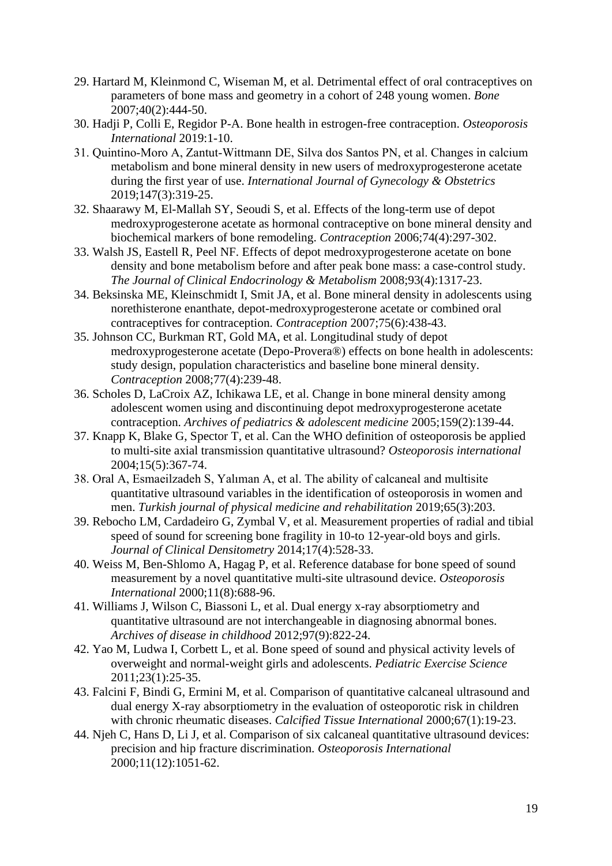- 29. Hartard M, Kleinmond C, Wiseman M, et al. Detrimental effect of oral contraceptives on parameters of bone mass and geometry in a cohort of 248 young women. *Bone* 2007;40(2):444-50.
- 30. Hadji P, Colli E, Regidor P-A. Bone health in estrogen-free contraception. *Osteoporosis International* 2019:1-10.
- 31. Quintino‐Moro A, Zantut‐Wittmann DE, Silva dos Santos PN, et al. Changes in calcium metabolism and bone mineral density in new users of medroxyprogesterone acetate during the first year of use. *International Journal of Gynecology & Obstetrics* 2019;147(3):319-25.
- 32. Shaarawy M, El-Mallah SY, Seoudi S, et al. Effects of the long-term use of depot medroxyprogesterone acetate as hormonal contraceptive on bone mineral density and biochemical markers of bone remodeling. *Contraception* 2006;74(4):297-302.
- 33. Walsh JS, Eastell R, Peel NF. Effects of depot medroxyprogesterone acetate on bone density and bone metabolism before and after peak bone mass: a case-control study. *The Journal of Clinical Endocrinology & Metabolism* 2008;93(4):1317-23.
- 34. Beksinska ME, Kleinschmidt I, Smit JA, et al. Bone mineral density in adolescents using norethisterone enanthate, depot-medroxyprogesterone acetate or combined oral contraceptives for contraception. *Contraception* 2007;75(6):438-43.
- 35. Johnson CC, Burkman RT, Gold MA, et al. Longitudinal study of depot medroxyprogesterone acetate (Depo-Provera®) effects on bone health in adolescents: study design, population characteristics and baseline bone mineral density. *Contraception* 2008;77(4):239-48.
- 36. Scholes D, LaCroix AZ, Ichikawa LE, et al. Change in bone mineral density among adolescent women using and discontinuing depot medroxyprogesterone acetate contraception. *Archives of pediatrics & adolescent medicine* 2005;159(2):139-44.
- 37. Knapp K, Blake G, Spector T, et al. Can the WHO definition of osteoporosis be applied to multi-site axial transmission quantitative ultrasound? *Osteoporosis international* 2004;15(5):367-74.
- 38. Oral A, Esmaeilzadeh S, Yalıman A, et al. The ability of calcaneal and multisite quantitative ultrasound variables in the identification of osteoporosis in women and men. *Turkish journal of physical medicine and rehabilitation* 2019;65(3):203.
- 39. Rebocho LM, Cardadeiro G, Zymbal V, et al. Measurement properties of radial and tibial speed of sound for screening bone fragility in 10-to 12-year-old boys and girls. *Journal of Clinical Densitometry* 2014;17(4):528-33.
- 40. Weiss M, Ben-Shlomo A, Hagag P, et al. Reference database for bone speed of sound measurement by a novel quantitative multi-site ultrasound device. *Osteoporosis International* 2000;11(8):688-96.
- 41. Williams J, Wilson C, Biassoni L, et al. Dual energy x-ray absorptiometry and quantitative ultrasound are not interchangeable in diagnosing abnormal bones. *Archives of disease in childhood* 2012;97(9):822-24.
- 42. Yao M, Ludwa I, Corbett L, et al. Bone speed of sound and physical activity levels of overweight and normal-weight girls and adolescents. *Pediatric Exercise Science* 2011;23(1):25-35.
- 43. Falcini F, Bindi G, Ermini M, et al. Comparison of quantitative calcaneal ultrasound and dual energy X-ray absorptiometry in the evaluation of osteoporotic risk in children with chronic rheumatic diseases. *Calcified Tissue International* 2000;67(1):19-23.
- 44. Njeh C, Hans D, Li J, et al. Comparison of six calcaneal quantitative ultrasound devices: precision and hip fracture discrimination. *Osteoporosis International* 2000;11(12):1051-62.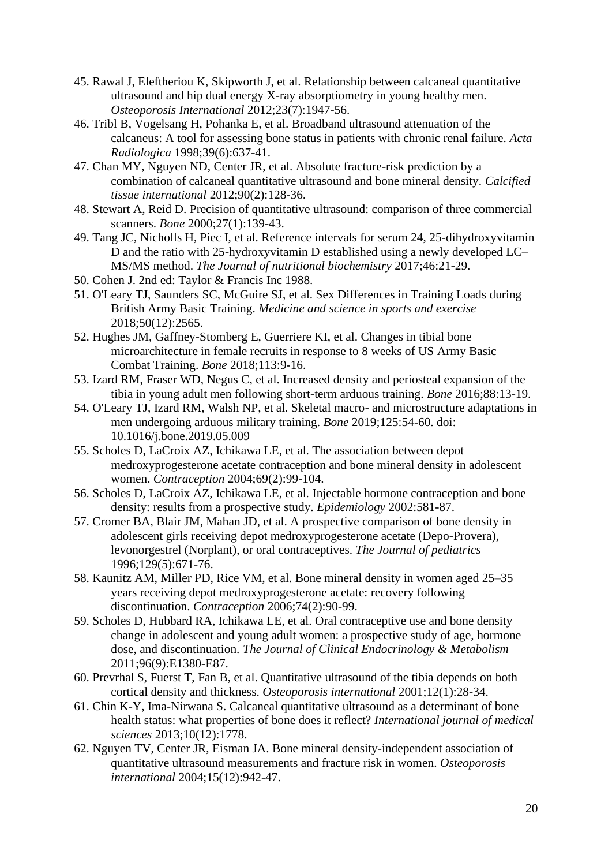- 45. Rawal J, Eleftheriou K, Skipworth J, et al. Relationship between calcaneal quantitative ultrasound and hip dual energy X-ray absorptiometry in young healthy men. *Osteoporosis International* 2012;23(7):1947-56.
- 46. Tribl B, Vogelsang H, Pohanka E, et al. Broadband ultrasound attenuation of the calcaneus: A tool for assessing bone status in patients with chronic renal failure. *Acta Radiologica* 1998;39(6):637-41.
- 47. Chan MY, Nguyen ND, Center JR, et al. Absolute fracture-risk prediction by a combination of calcaneal quantitative ultrasound and bone mineral density. *Calcified tissue international* 2012;90(2):128-36.
- 48. Stewart A, Reid D. Precision of quantitative ultrasound: comparison of three commercial scanners. *Bone* 2000;27(1):139-43.
- 49. Tang JC, Nicholls H, Piec I, et al. Reference intervals for serum 24, 25-dihydroxyvitamin D and the ratio with 25-hydroxyvitamin D established using a newly developed LC– MS/MS method. *The Journal of nutritional biochemistry* 2017;46:21-29.
- 50. Cohen J. 2nd ed: Taylor & Francis Inc 1988.
- 51. O'Leary TJ, Saunders SC, McGuire SJ, et al. Sex Differences in Training Loads during British Army Basic Training. *Medicine and science in sports and exercise* 2018;50(12):2565.
- 52. Hughes JM, Gaffney-Stomberg E, Guerriere KI, et al. Changes in tibial bone microarchitecture in female recruits in response to 8 weeks of US Army Basic Combat Training. *Bone* 2018;113:9-16.
- 53. Izard RM, Fraser WD, Negus C, et al. Increased density and periosteal expansion of the tibia in young adult men following short-term arduous training. *Bone* 2016;88:13-19.
- 54. O'Leary TJ, Izard RM, Walsh NP, et al. Skeletal macro- and microstructure adaptations in men undergoing arduous military training. *Bone* 2019;125:54-60. doi: 10.1016/j.bone.2019.05.009
- 55. Scholes D, LaCroix AZ, Ichikawa LE, et al. The association between depot medroxyprogesterone acetate contraception and bone mineral density in adolescent women. *Contraception* 2004;69(2):99-104.
- 56. Scholes D, LaCroix AZ, Ichikawa LE, et al. Injectable hormone contraception and bone density: results from a prospective study. *Epidemiology* 2002:581-87.
- 57. Cromer BA, Blair JM, Mahan JD, et al. A prospective comparison of bone density in adolescent girls receiving depot medroxyprogesterone acetate (Depo-Provera), levonorgestrel (Norplant), or oral contraceptives. *The Journal of pediatrics* 1996;129(5):671-76.
- 58. Kaunitz AM, Miller PD, Rice VM, et al. Bone mineral density in women aged 25–35 years receiving depot medroxyprogesterone acetate: recovery following discontinuation. *Contraception* 2006;74(2):90-99.
- 59. Scholes D, Hubbard RA, Ichikawa LE, et al. Oral contraceptive use and bone density change in adolescent and young adult women: a prospective study of age, hormone dose, and discontinuation. *The Journal of Clinical Endocrinology & Metabolism* 2011;96(9):E1380-E87.
- 60. Prevrhal S, Fuerst T, Fan B, et al. Quantitative ultrasound of the tibia depends on both cortical density and thickness. *Osteoporosis international* 2001;12(1):28-34.
- 61. Chin K-Y, Ima-Nirwana S. Calcaneal quantitative ultrasound as a determinant of bone health status: what properties of bone does it reflect? *International journal of medical sciences* 2013;10(12):1778.
- 62. Nguyen TV, Center JR, Eisman JA. Bone mineral density-independent association of quantitative ultrasound measurements and fracture risk in women. *Osteoporosis international* 2004;15(12):942-47.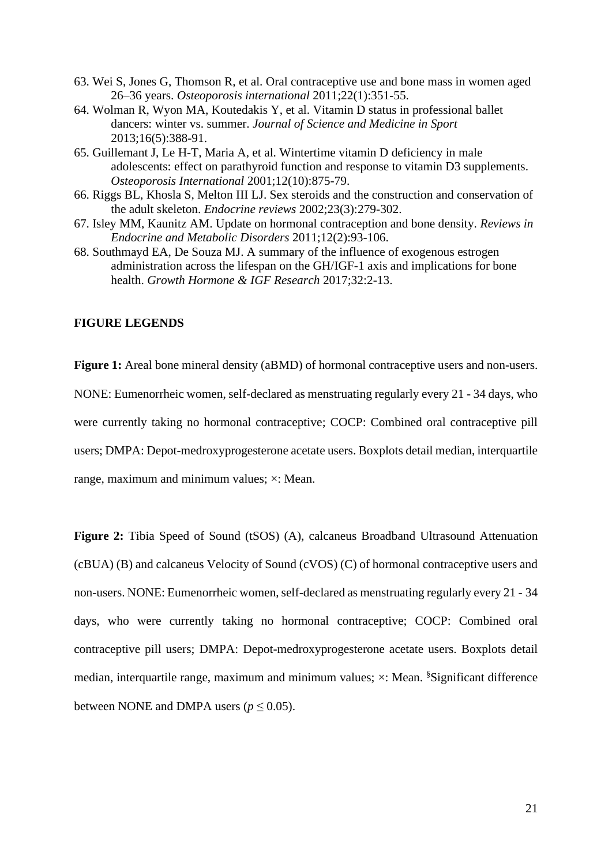- 63. Wei S, Jones G, Thomson R, et al. Oral contraceptive use and bone mass in women aged 26–36 years. *Osteoporosis international* 2011;22(1):351-55.
- 64. Wolman R, Wyon MA, Koutedakis Y, et al. Vitamin D status in professional ballet dancers: winter vs. summer. *Journal of Science and Medicine in Sport* 2013;16(5):388-91.
- 65. Guillemant J, Le H-T, Maria A, et al. Wintertime vitamin D deficiency in male adolescents: effect on parathyroid function and response to vitamin D3 supplements. *Osteoporosis International* 2001;12(10):875-79.
- 66. Riggs BL, Khosla S, Melton III LJ. Sex steroids and the construction and conservation of the adult skeleton. *Endocrine reviews* 2002;23(3):279-302.
- 67. Isley MM, Kaunitz AM. Update on hormonal contraception and bone density. *Reviews in Endocrine and Metabolic Disorders* 2011;12(2):93-106.
- 68. Southmayd EA, De Souza MJ. A summary of the influence of exogenous estrogen administration across the lifespan on the GH/IGF-1 axis and implications for bone health. *Growth Hormone & IGF Research* 2017;32:2-13.

## **FIGURE LEGENDS**

**Figure 1:** Areal bone mineral density (aBMD) of hormonal contraceptive users and non-users. NONE: Eumenorrheic women, self-declared as menstruating regularly every 21 - 34 days, who were currently taking no hormonal contraceptive; COCP: Combined oral contraceptive pill users; DMPA: Depot-medroxyprogesterone acetate users. Boxplots detail median, interquartile range, maximum and minimum values; ×: Mean.

Figure 2: Tibia Speed of Sound (tSOS) (A), calcaneus Broadband Ultrasound Attenuation (cBUA) (B) and calcaneus Velocity of Sound (cVOS) (C) of hormonal contraceptive users and non-users. NONE: Eumenorrheic women, self-declared as menstruating regularly every 21 - 34 days, who were currently taking no hormonal contraceptive; COCP: Combined oral contraceptive pill users; DMPA: Depot-medroxyprogesterone acetate users. Boxplots detail median, interquartile range, maximum and minimum values;  $\times$ : Mean. <sup>§</sup>Significant difference between NONE and DMPA users ( $p \le 0.05$ ).